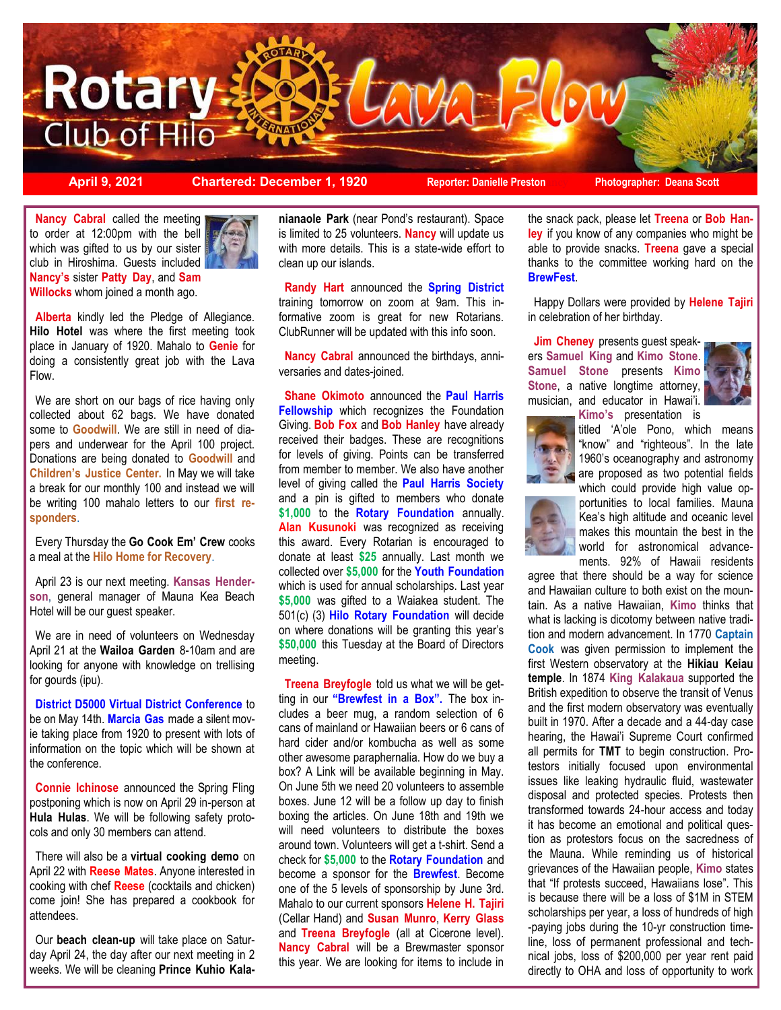

**April 9, 2021 Chartered: December 1, 1920 Reporter: Danielle Preston**ancy **Photographer: Deana Scott**

**Nancy Cabral** called the meeting to order at 12:00pm with the bell which was gifted to us by our sister club in Hiroshima. Guests included **Nancy's** sister **Patty Day**, and **Sam Willocks** whom joined a month ago.



 **Alberta** kindly led the Pledge of Allegiance. **Hilo Hotel** was where the first meeting took place in January of 1920. Mahalo to **Genie** for doing a consistently great job with the Lava Flow.

 We are short on our bags of rice having only collected about 62 bags. We have donated some to **Goodwill**. We are still in need of diapers and underwear for the April 100 project. Donations are being donated to **Goodwill** and **Children's Justice Center.** In May we will take a break for our monthly 100 and instead we will be writing 100 mahalo letters to our **first responders**.

 Every Thursday the **Go Cook Em' Crew** cooks a meal at the **Hilo Home for Recovery**.

 April 23 is our next meeting. **Kansas Henderson**, general manager of Mauna Kea Beach Hotel will be our guest speaker.

 We are in need of volunteers on Wednesday April 21 at the **Wailoa Garden** 8-10am and are looking for anyone with knowledge on trellising for gourds (ipu).

 **District D5000 Virtual District Conference** to be on May 14th. **Marcia Gas** made a silent movie taking place from 1920 to present with lots of information on the topic which will be shown at the conference.

**Connie Ichinose** announced the Spring Fling postponing which is now on April 29 in-person at **Hula Hulas**. We will be following safety protocols and only 30 members can attend.

 There will also be a **virtual cooking demo** on April 22 with **Reese Mates**. Anyone interested in cooking with chef **Reese** (cocktails and chicken) come join! She has prepared a cookbook for attendees.

 Our **beach clean-up** will take place on Saturday April 24, the day after our next meeting in 2 weeks. We will be cleaning **Prince Kuhio Kala-** **nianaole Park** (near Pond's restaurant). Space is limited to 25 volunteers. **Nancy** will update us with more details. This is a state-wide effort to clean up our islands.

 **Randy Hart** announced the **Spring District**  training tomorrow on zoom at 9am. This informative zoom is great for new Rotarians. ClubRunner will be updated with this info soon.

 **Nancy Cabral** announced the birthdays, anniversaries and dates-joined.

 **Shane Okimoto** announced the **Paul Harris Fellowship** which recognizes the Foundation Giving. **Bob Fox** and **Bob Hanley** have already received their badges. These are recognitions for levels of giving. Points can be transferred from member to member. We also have another level of giving called the **Paul Harris Society**  and a pin is gifted to members who donate **\$1,000** to the **Rotary Foundation** annually. **Alan Kusunoki** was recognized as receiving this award. Every Rotarian is encouraged to donate at least **\$25** annually. Last month we collected over **\$5,000** for the **Youth Foundation**  which is used for annual scholarships. Last year **\$5,000** was gifted to a Waiakea student. The 501(c) (3) **Hilo Rotary Foundation** will decide on where donations will be granting this year's **\$50,000** this Tuesday at the Board of Directors meeting.

 **Treena Breyfogle** told us what we will be getting in our **"Brewfest in a Box".** The box includes a beer mug, a random selection of 6 cans of mainland or Hawaiian beers or 6 cans of hard cider and/or kombucha as well as some other awesome paraphernalia. How do we buy a box? A Link will be available beginning in May. On June 5th we need 20 volunteers to assemble boxes. June 12 will be a follow up day to finish boxing the articles. On June 18th and 19th we will need volunteers to distribute the boxes around town. Volunteers will get a t-shirt. Send a check for **\$5,000** to the **Rotary Foundation** and become a sponsor for the **Brewfest**. Become one of the 5 levels of sponsorship by June 3rd. Mahalo to our current sponsors **Helene H. Tajiri**  (Cellar Hand) and **Susan Munro**, **Kerry Glass** and **Treena Breyfogle** (all at Cicerone level). **Nancy Cabral** will be a Brewmaster sponsor this year. We are looking for items to include in

the snack pack, please let **Treena** or **Bob Hanley** if you know of any companies who might be able to provide snacks. **Treena** gave a special thanks to the committee working hard on the **BrewFest**.

 Happy Dollars were provided by **Helene Tajiri**  in celebration of her birthday.

 **Jim Cheney** presents guest speakers **Samuel King** and **Kimo Stone**. **Samuel Stone** presents **Kimo**  Stone, a native longtime attorney, musician, and educator in Hawai'i. **Kimo's** presentation is



titled 'A'ole Pono, which means "know" and "righteous". In the late 1960's oceanography and astronomy are proposed as two potential fields



which could provide high value opportunities to local families. Mauna Kea's high altitude and oceanic level makes this mountain the best in the world for astronomical advancements. 92% of Hawaii residents

agree that there should be a way for science and Hawaiian culture to both exist on the mountain. As a native Hawaiian, **Kimo** thinks that what is lacking is dicotomy between native tradition and modern advancement. In 1770 **Captain Cook** was given permission to implement the first Western observatory at the **Hikiau Keiau temple**. In 1874 **King Kalakaua** supported the British expedition to observe the transit of Venus and the first modern observatory was eventually built in 1970. After a decade and a 44-day case hearing, the Hawai'i Supreme Court confirmed all permits for **TMT** to begin construction. Protestors initially focused upon environmental issues like leaking hydraulic fluid, wastewater disposal and protected species. Protests then transformed towards 24-hour access and today it has become an emotional and political question as protestors focus on the sacredness of the Mauna. While reminding us of historical grievances of the Hawaiian people, **Kimo** states that "If protests succeed, Hawaiians lose". This is because there will be a loss of \$1M in STEM scholarships per year, a loss of hundreds of high -paying jobs during the 10-yr construction timeline, loss of permanent professional and technical jobs, loss of \$200,000 per year rent paid directly to OHA and loss of opportunity to work